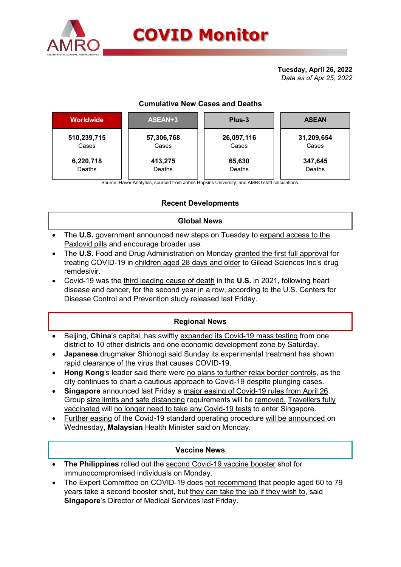

# COVID Monitor

## Cumulative New Cases and Deaths

|                      |                     | <b>COVID Monitor</b>                   |                         |
|----------------------|---------------------|----------------------------------------|-------------------------|
|                      |                     |                                        | Tuesday, April 26, 2022 |
|                      |                     |                                        | Data as of Apr 25, 2022 |
|                      |                     | <b>Cumulative New Cases and Deaths</b> |                         |
| Worldwide            | ASEAN+3             | Plus-3                                 | <b>ASEAN</b>            |
| 510,239,715<br>Cases | 57,306,768<br>Cases | 26,097,116<br>Cases                    | 31,209,654<br>Cases     |

## Recent Developments

### Global News

- The U.S. government announced new steps on Tuesday to expand access to the Paxlovid pills and encourage broader use.
- The U.S. Food and Drug Administration on Monday granted the first full approval for treating COVID-19 in children aged 28 days and older to Gilead Sciences Inc's drug remdesivir.
- Covid-19 was the third leading cause of death in the U.S. in 2021, following heart disease and cancer, for the second year in a row, according to the U.S. Centers for Disease Control and Prevention study released last Friday.

#### Regional News

- Beijing, China's capital, has swiftly expanded its Covid-19 mass testing from one district to 10 other districts and one economic development zone by Saturday.
- Japanese drugmaker Shionogi said Sunday its experimental treatment has shown rapid clearance of the virus that causes COVID-19.
- Hong Kong's leader said there were no plans to further relax border controls, as the city continues to chart a cautious approach to Covid-19 despite plunging cases.
- Singapore announced last Friday a major easing of Covid-19 rules from April 26. Group size limits and safe distancing requirements will be removed. Travellers fully vaccinated will no longer need to take any Covid-19 tests to enter Singapore.
- Further easing of the Covid-19 standard operating procedure will be announced on Wednesday, Malaysian Health Minister said on Monday.

#### Vaccine News

- The Philippines rolled out the second Covid-19 vaccine booster shot for immunocompromised individuals on Monday.
- The Expert Committee on COVID-19 does not recommend that people aged 60 to 79 years take a second booster shot, but they can take the jab if they wish to, said Singapore's Director of Medical Services last Friday.